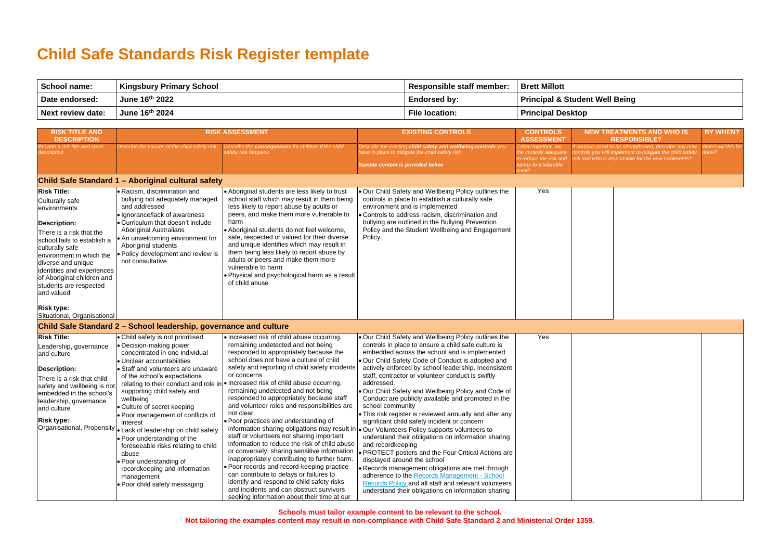**Schools must tailor example content to be relevant to the school.** 

**Not tailoring the examples content may result in non-compliance with Child Safe Standard 2 and Ministerial Order 1359.**

## **Child Safe Standards Risk Register template**

| <b>School name:</b>      | Kingsbury Primary School | Responsible staff member: | <b>Brett Millott</b>                      |
|--------------------------|--------------------------|---------------------------|-------------------------------------------|
| Date endorsed:           | June 16th 2022           | <b>Endorsed by:</b>       | <b>Principal &amp; Student Well Being</b> |
| <b>Next review date:</b> | June 16th 2024           | <b>File location:</b>     | <b>Principal Desktop</b>                  |

| <b>RISK TITLE AND</b>                                                                                                                                                                                                                                                                                                                 |                                                                                                                                                                                                                                                                                                                                                                                                                                                                                                                                                                                                           | <b>RISK ASSESSMENT</b>                                                                                                                                                                                                                                                                                                                                                                                                                                                                                                                                                                                                                                                                                                                                                                                                                                                                                        | <b>EXISTING CONTROLS</b>                                                                                                                                                                                                                                                                                                                                                                                                                                                                                                                                                                                                                                                                                                                                                                                                                                                                                                                                                                                                  | <b>CONTROLS</b>                                                                              | <b>NEW TREATMENTS AND WHO IS</b>                                                                                                                                       | <b>BY WHEN?</b>            |
|---------------------------------------------------------------------------------------------------------------------------------------------------------------------------------------------------------------------------------------------------------------------------------------------------------------------------------------|-----------------------------------------------------------------------------------------------------------------------------------------------------------------------------------------------------------------------------------------------------------------------------------------------------------------------------------------------------------------------------------------------------------------------------------------------------------------------------------------------------------------------------------------------------------------------------------------------------------|---------------------------------------------------------------------------------------------------------------------------------------------------------------------------------------------------------------------------------------------------------------------------------------------------------------------------------------------------------------------------------------------------------------------------------------------------------------------------------------------------------------------------------------------------------------------------------------------------------------------------------------------------------------------------------------------------------------------------------------------------------------------------------------------------------------------------------------------------------------------------------------------------------------|---------------------------------------------------------------------------------------------------------------------------------------------------------------------------------------------------------------------------------------------------------------------------------------------------------------------------------------------------------------------------------------------------------------------------------------------------------------------------------------------------------------------------------------------------------------------------------------------------------------------------------------------------------------------------------------------------------------------------------------------------------------------------------------------------------------------------------------------------------------------------------------------------------------------------------------------------------------------------------------------------------------------------|----------------------------------------------------------------------------------------------|------------------------------------------------------------------------------------------------------------------------------------------------------------------------|----------------------------|
| <b>DESCRIPTION</b>                                                                                                                                                                                                                                                                                                                    |                                                                                                                                                                                                                                                                                                                                                                                                                                                                                                                                                                                                           |                                                                                                                                                                                                                                                                                                                                                                                                                                                                                                                                                                                                                                                                                                                                                                                                                                                                                                               |                                                                                                                                                                                                                                                                                                                                                                                                                                                                                                                                                                                                                                                                                                                                                                                                                                                                                                                                                                                                                           | <b>ASSESSMENT</b>                                                                            | <b>RESPONSIBLE?</b>                                                                                                                                                    |                            |
| Provide a risk title and short<br>description.                                                                                                                                                                                                                                                                                        | Describe the causes of the child safety risk.                                                                                                                                                                                                                                                                                                                                                                                                                                                                                                                                                             | Describe the consequences for children if the child<br>safety risk happens                                                                                                                                                                                                                                                                                                                                                                                                                                                                                                                                                                                                                                                                                                                                                                                                                                    | Describe the existing child safety and wellbeing controls you<br>ave in place to mitigate the child safety risk<br>Sample content is provided below                                                                                                                                                                                                                                                                                                                                                                                                                                                                                                                                                                                                                                                                                                                                                                                                                                                                       | Taken together, are<br>he controls adequate<br>o reduce the risk and<br>harms to a tolerable | f controls need to be strengthened, describe any new<br>controls you will implement to mitigate the child safety<br>isk and who is responsible for the new treatments? | When will this be<br>done? |
|                                                                                                                                                                                                                                                                                                                                       |                                                                                                                                                                                                                                                                                                                                                                                                                                                                                                                                                                                                           |                                                                                                                                                                                                                                                                                                                                                                                                                                                                                                                                                                                                                                                                                                                                                                                                                                                                                                               |                                                                                                                                                                                                                                                                                                                                                                                                                                                                                                                                                                                                                                                                                                                                                                                                                                                                                                                                                                                                                           | evel?                                                                                        |                                                                                                                                                                        |                            |
|                                                                                                                                                                                                                                                                                                                                       | Child Safe Standard 1 - Aboriginal cultural safety                                                                                                                                                                                                                                                                                                                                                                                                                                                                                                                                                        |                                                                                                                                                                                                                                                                                                                                                                                                                                                                                                                                                                                                                                                                                                                                                                                                                                                                                                               |                                                                                                                                                                                                                                                                                                                                                                                                                                                                                                                                                                                                                                                                                                                                                                                                                                                                                                                                                                                                                           |                                                                                              |                                                                                                                                                                        |                            |
| <b>Risk Title:</b><br>Culturally safe<br>environments<br><b>Description:</b><br>There is a risk that the<br>school fails to establish a<br>culturally safe<br>environment in which the<br>diverse and unique<br>identities and experiences<br>of Aboriginal children and<br>students are respected<br>and valued<br><b>Risk type:</b> | • Racism, discrimination and<br>bullying not adequately managed<br>and addressed<br>• Ignorance/lack of awareness<br>• Curriculum that doesn't include<br><b>Aboriginal Australians</b><br>• An unwelcoming environment for<br>Aboriginal students<br>· Policy development and review is<br>not consultative                                                                                                                                                                                                                                                                                              | • Aboriginal students are less likely to trust<br>school staff which may result in them being<br>less likely to report abuse by adults or<br>peers, and make them more vulnerable to<br>harm<br>• Aboriginal students do not feel welcome,<br>safe, respected or valued for their diverse<br>and unique identifies which may result in<br>them being less likely to report abuse by<br>adults or peers and make them more<br>vulnerable to harm<br>. Physical and psychological harm as a result<br>of child abuse                                                                                                                                                                                                                                                                                                                                                                                            | . Our Child Safety and Wellbeing Policy outlines the<br>controls in place to establish a culturally safe<br>environment and is implemented<br>Controls to address racism, discrimination and<br>bullying are outlined in the Bullying Prevention<br>Policy and the Student Wellbeing and Engagement<br>Policy.                                                                                                                                                                                                                                                                                                                                                                                                                                                                                                                                                                                                                                                                                                            | Yes                                                                                          |                                                                                                                                                                        |                            |
| Situational, Organisational                                                                                                                                                                                                                                                                                                           |                                                                                                                                                                                                                                                                                                                                                                                                                                                                                                                                                                                                           |                                                                                                                                                                                                                                                                                                                                                                                                                                                                                                                                                                                                                                                                                                                                                                                                                                                                                                               |                                                                                                                                                                                                                                                                                                                                                                                                                                                                                                                                                                                                                                                                                                                                                                                                                                                                                                                                                                                                                           |                                                                                              |                                                                                                                                                                        |                            |
|                                                                                                                                                                                                                                                                                                                                       | Child Safe Standard 2 – School leadership, governance and culture                                                                                                                                                                                                                                                                                                                                                                                                                                                                                                                                         |                                                                                                                                                                                                                                                                                                                                                                                                                                                                                                                                                                                                                                                                                                                                                                                                                                                                                                               |                                                                                                                                                                                                                                                                                                                                                                                                                                                                                                                                                                                                                                                                                                                                                                                                                                                                                                                                                                                                                           |                                                                                              |                                                                                                                                                                        |                            |
| <b>Risk Title:</b><br>Leadership, governance<br>and culture<br><b>Description:</b><br>There is a risk that child<br>safety and wellbeing is no<br>embedded in the school's<br>leadership, governance<br>and culture<br><b>Risk type:</b><br>Organisational, Propensity                                                                | • Child safety is not prioritised<br>• Decision-making power<br>concentrated in one individual<br>• Unclear accountabilities<br>• Staff and volunteers are unaware<br>of the school's expectations<br>relating to their conduct and role in<br>supporting child safety and<br>wellbeing<br>• Culture of secret keeping<br>. Poor management of conflicts of<br>interest<br>• Lack of leadership on child safety<br>• Poor understanding of the<br>foreseeable risks relating to child<br>abuse<br>• Poor understanding of<br>recordkeeping and information<br>management<br>• Poor child safety messaging | • Increased risk of child abuse occurring,<br>remaining undetected and not being<br>responded to appropriately because the<br>school does not have a culture of child<br>safety and reporting of child safety incidents<br>or concerns<br>Increased risk of child abuse occurring,<br>remaining undetected and not being<br>responded to appropriately because staff<br>and volunteer roles and responsibilities are<br>not clear<br>• Poor practices and understanding of<br>information sharing obligations may result in<br>staff or volunteers not sharing important<br>information to reduce the risk of child abuse<br>or conversely, sharing sensitive information<br>inappropriately contributing to further harm.<br>· Poor records and record-keeping practice<br>can contribute to delays or failures to<br>identify and respond to child safety risks<br>and incidents and can obstruct survivors | . Our Child Safety and Wellbeing Policy outlines the<br>controls in place to ensure a child safe culture is<br>embedded across the school and is implemented<br>Our Child Safety Code of Conduct is adopted and<br>actively enforced by school leadership. Inconsistent<br>staff, contractor or volunteer conduct is swiftly<br>addressed.<br>. Our Child Safety and Wellbeing Policy and Code of<br>Conduct are publicly available and promoted in the<br>school community<br>. This risk register is reviewed annually and after any<br>significant child safety incident or concern<br>Our Volunteers Policy supports volunteers to<br>understand their obligations on information sharing<br>and recordkeeping<br>• PROTECT posters and the Four Critical Actions are<br>displayed around the school<br>Records management obligations are met through<br>adherence to the Records Management - School<br>Records Policy and all staff and relevant volunteers<br>understand their obligations on information sharing | Yes                                                                                          |                                                                                                                                                                        |                            |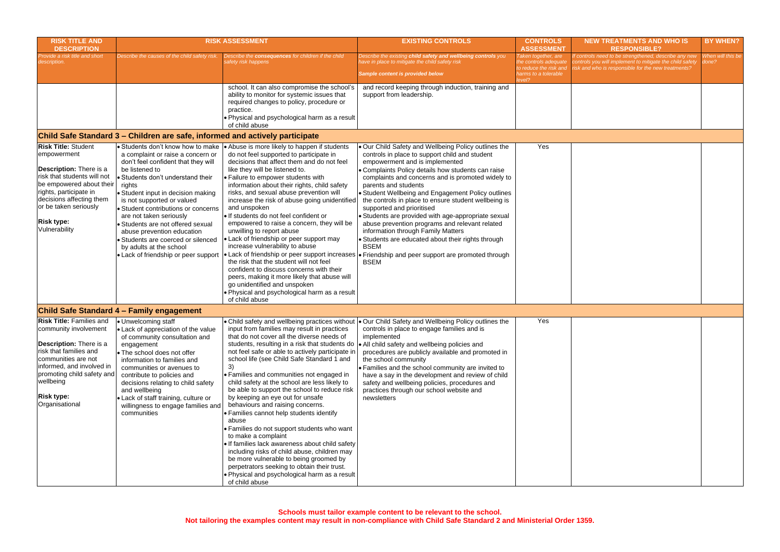| <b>RISK TITLE AND</b><br><b>DESCRIPTION</b>                                                                                                                                                                                                          |                                                                                                                                                                                                                                                                                                                                                                                                                                                       | <b>RISK ASSESSMENT</b>                                                                                                                                                                                                                                                                                                                                                                                                                                                                                                                                                                                                                                                                                                                                                                                                                                                                                           | <b>EXISTING CONTROLS</b>                                                                                                                                                                                                                                                                                                                                                                                                                                                                                                                                                                                                                                                                                                                                | <b>CONTROLS</b><br><b>ASSESSMENT</b>                                                                    | <b>NEW TREATMENTS AND WHO IS</b><br><b>RESPONSIBLE?</b>                                                                                                                 | <b>BY WHEN?</b>            |
|------------------------------------------------------------------------------------------------------------------------------------------------------------------------------------------------------------------------------------------------------|-------------------------------------------------------------------------------------------------------------------------------------------------------------------------------------------------------------------------------------------------------------------------------------------------------------------------------------------------------------------------------------------------------------------------------------------------------|------------------------------------------------------------------------------------------------------------------------------------------------------------------------------------------------------------------------------------------------------------------------------------------------------------------------------------------------------------------------------------------------------------------------------------------------------------------------------------------------------------------------------------------------------------------------------------------------------------------------------------------------------------------------------------------------------------------------------------------------------------------------------------------------------------------------------------------------------------------------------------------------------------------|---------------------------------------------------------------------------------------------------------------------------------------------------------------------------------------------------------------------------------------------------------------------------------------------------------------------------------------------------------------------------------------------------------------------------------------------------------------------------------------------------------------------------------------------------------------------------------------------------------------------------------------------------------------------------------------------------------------------------------------------------------|---------------------------------------------------------------------------------------------------------|-------------------------------------------------------------------------------------------------------------------------------------------------------------------------|----------------------------|
| Provide a risk title and short<br>lescription.                                                                                                                                                                                                       | Describe the causes of the child safety risk.                                                                                                                                                                                                                                                                                                                                                                                                         | Describe the consequences for children if the child<br>afety risk happens                                                                                                                                                                                                                                                                                                                                                                                                                                                                                                                                                                                                                                                                                                                                                                                                                                        | Describe the existing child safety and wellbeing controls you<br>have in place to mitigate the child safety risk<br>Sample content is provided below                                                                                                                                                                                                                                                                                                                                                                                                                                                                                                                                                                                                    | Taken together, are<br>the controls adequate<br>to reduce the risk and<br>harms to a tolerable<br>evel? | f controls need to be strengthened, describe any new<br>controls you will implement to mitigate the child safety<br>risk and who is responsible for the new treatments? | When will this be<br>done? |
|                                                                                                                                                                                                                                                      |                                                                                                                                                                                                                                                                                                                                                                                                                                                       | school. It can also compromise the school's<br>ability to monitor for systemic issues that<br>required changes to policy, procedure or<br>practice.<br>. Physical and psychological harm as a result<br>of child abuse                                                                                                                                                                                                                                                                                                                                                                                                                                                                                                                                                                                                                                                                                           | and record keeping through induction, training and<br>support from leadership.                                                                                                                                                                                                                                                                                                                                                                                                                                                                                                                                                                                                                                                                          |                                                                                                         |                                                                                                                                                                         |                            |
|                                                                                                                                                                                                                                                      | Child Safe Standard 3 - Children are safe, informed and actively participate                                                                                                                                                                                                                                                                                                                                                                          |                                                                                                                                                                                                                                                                                                                                                                                                                                                                                                                                                                                                                                                                                                                                                                                                                                                                                                                  |                                                                                                                                                                                                                                                                                                                                                                                                                                                                                                                                                                                                                                                                                                                                                         |                                                                                                         |                                                                                                                                                                         |                            |
| <b>Risk Title: Student</b><br>empowerment<br>Description: There is a<br>risk that students will not<br>be empowered about their<br>rights, participate in<br>decisions affecting them<br>or be taken seriously<br><b>Risk type:</b><br>Vulnerability | a complaint or raise a concern or<br>don't feel confident that they will<br>be listened to<br>Students don't understand their<br>rights<br>• Student input in decision making<br>is not supported or valued<br>· Student contributions or concerns<br>are not taken seriously<br>Students are not offered sexual<br>abuse prevention education<br>Students are coerced or silenced<br>by adults at the school<br>• Lack of friendship or peer support | • Students don't know how to make $  \cdot \rangle$ Abuse is more likely to happen if students<br>do not feel supported to participate in<br>decisions that affect them and do not feel<br>like they will be listened to.<br>• Failure to empower students with<br>information about their rights, child safety<br>risks, and sexual abuse prevention will<br>increase the risk of abuse going unidentified<br>and unspoken<br>· If students do not feel confident or<br>empowered to raise a concern, they will be<br>unwilling to report abuse<br>• Lack of friendship or peer support may<br>increase vulnerability to abuse<br>the risk that the student will not feel<br>confident to discuss concerns with their<br>peers, making it more likely that abuse will<br>go unidentified and unspoken<br>. Physical and psychological harm as a result<br>of child abuse                                        | . Our Child Safety and Wellbeing Policy outlines the<br>controls in place to support child and student<br>empowerment and is implemented<br>Complaints Policy details how students can raise<br>complaints and concerns and is promoted widely to<br>parents and students<br>Student Wellbeing and Engagement Policy outlines<br>the controls in place to ensure student wellbeing is<br>supported and prioritised<br>Students are provided with age-appropriate sexual<br>abuse prevention programs and relevant related<br>information through Family Matters<br>Students are educated about their rights through<br><b>BSEM</b><br>• Lack of friendship or peer support increases  • Friendship and peer support are promoted through<br><b>BSEM</b> | Yes                                                                                                     |                                                                                                                                                                         |                            |
|                                                                                                                                                                                                                                                      | <b>Child Safe Standard 4 - Family engagement</b>                                                                                                                                                                                                                                                                                                                                                                                                      |                                                                                                                                                                                                                                                                                                                                                                                                                                                                                                                                                                                                                                                                                                                                                                                                                                                                                                                  |                                                                                                                                                                                                                                                                                                                                                                                                                                                                                                                                                                                                                                                                                                                                                         |                                                                                                         |                                                                                                                                                                         |                            |
| <b>Risk Title: Families and</b><br>community involvement<br>Description: There is a<br>risk that families and<br>communities are not<br>informed, and involved in<br>promoting child safety and<br>wellbeing<br><b>Risk type:</b><br>Organisational  | Unwelcoming staff<br>• Lack of appreciation of the value<br>of community consultation and<br>engagement<br>• The school does not offer<br>information to families and<br>communities or avenues to<br>contribute to policies and<br>decisions relating to child safety<br>and wellbeing<br>• Lack of staff training, culture or<br>willingness to engage families and<br>communities                                                                  | input from families may result in practices<br>that do not cover all the diverse needs of<br>students, resulting in a risk that students do  . All child safety and wellbeing policies and<br>not feel safe or able to actively participate in<br>school life (see Child Safe Standard 1 and<br>3)<br>Families and communities not engaged in<br>child safety at the school are less likely to<br>be able to support the school to reduce risk<br>by keeping an eye out for unsafe<br>behaviours and raising concerns.<br>• Families cannot help students identify<br>abuse<br>• Families do not support students who want<br>to make a complaint<br>. If families lack awareness about child safety<br>including risks of child abuse, children may<br>be more vulnerable to being groomed by<br>perpetrators seeking to obtain their trust.<br>. Physical and psychological harm as a result<br>of child abuse | • Child safety and wellbeing practices without  • Our Child Safety and Wellbeing Policy outlines the<br>controls in place to engage families and is<br>implemented<br>procedures are publicly available and promoted in<br>the school community<br>• Families and the school community are invited to<br>have a say in the development and review of child<br>safety and wellbeing policies, procedures and<br>practices through our school website and<br>newsletters                                                                                                                                                                                                                                                                                  | Yes                                                                                                     |                                                                                                                                                                         |                            |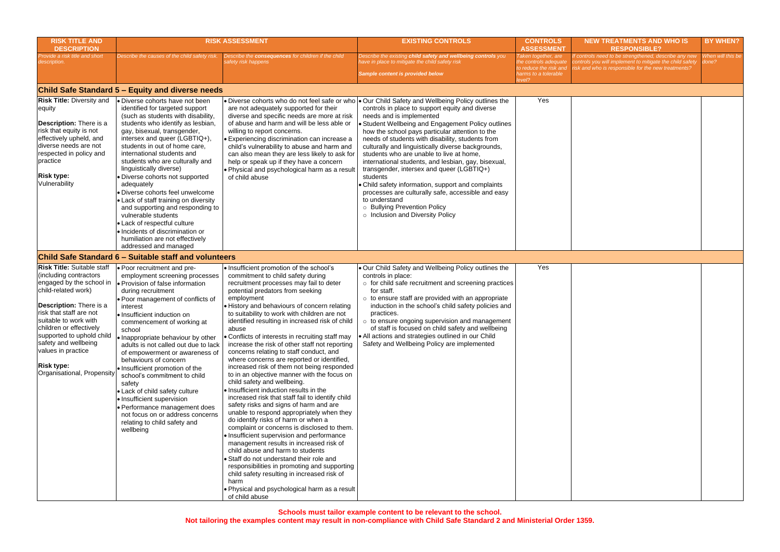**Schools must tailor example content to be relevant to the school.** 

**Not tailoring the examples content may result in non-compliance with Child Safe Standard 2 and Ministerial Order 1359.**

| <b>RISK TITLE AND</b><br><b>DESCRIPTION</b>                                                                                                                                                                                                                                                                                                                   |                                                                                                                                                                                                                                                                                                                                                                                                                                                                                                                                                                                                                                                               | <b>RISK ASSESSMENT</b>                                                                                                                                                                                                                                                                                                                                                                                                                                                                                                                                                                                                                                                                                                                                                                                                                                                                                                                                                                                                                                                                                                                                                                                                                                                                           | <b>EXISTING CONTROLS</b>                                                                                                                                                                                                                                                                                                                                                                                                                                                                                                                                                                                                                                                                                                                                      | <b>CONTROLS</b><br><b>ASSESSMENT</b>                                                                    | <b>NEW TREATMENTS AND WHO IS</b><br><b>RESPONSIBLE?</b>                                                                                                                | <b>BY WHEN?</b>            |
|---------------------------------------------------------------------------------------------------------------------------------------------------------------------------------------------------------------------------------------------------------------------------------------------------------------------------------------------------------------|---------------------------------------------------------------------------------------------------------------------------------------------------------------------------------------------------------------------------------------------------------------------------------------------------------------------------------------------------------------------------------------------------------------------------------------------------------------------------------------------------------------------------------------------------------------------------------------------------------------------------------------------------------------|--------------------------------------------------------------------------------------------------------------------------------------------------------------------------------------------------------------------------------------------------------------------------------------------------------------------------------------------------------------------------------------------------------------------------------------------------------------------------------------------------------------------------------------------------------------------------------------------------------------------------------------------------------------------------------------------------------------------------------------------------------------------------------------------------------------------------------------------------------------------------------------------------------------------------------------------------------------------------------------------------------------------------------------------------------------------------------------------------------------------------------------------------------------------------------------------------------------------------------------------------------------------------------------------------|---------------------------------------------------------------------------------------------------------------------------------------------------------------------------------------------------------------------------------------------------------------------------------------------------------------------------------------------------------------------------------------------------------------------------------------------------------------------------------------------------------------------------------------------------------------------------------------------------------------------------------------------------------------------------------------------------------------------------------------------------------------|---------------------------------------------------------------------------------------------------------|------------------------------------------------------------------------------------------------------------------------------------------------------------------------|----------------------------|
| Provide a risk title and short<br>description.                                                                                                                                                                                                                                                                                                                | Describe the causes of the child safety risk.                                                                                                                                                                                                                                                                                                                                                                                                                                                                                                                                                                                                                 | Describe the <b>consequences</b> for children if the child<br>afety risk happens                                                                                                                                                                                                                                                                                                                                                                                                                                                                                                                                                                                                                                                                                                                                                                                                                                                                                                                                                                                                                                                                                                                                                                                                                 | Describe the existing child safety and wellbeing controls you<br>ave in place to mitigate the child safety risk<br>Sample content is provided below                                                                                                                                                                                                                                                                                                                                                                                                                                                                                                                                                                                                           | Taken together, are<br>the controls adequate<br>to reduce the risk and<br>harms to a tolerable<br>evel? | f controls need to be strengthened, describe any new<br>controls you will implement to mitigate the child safety<br>isk and who is responsible for the new treatments? | When will this be<br>done? |
|                                                                                                                                                                                                                                                                                                                                                               | Child Safe Standard 5 - Equity and diverse needs                                                                                                                                                                                                                                                                                                                                                                                                                                                                                                                                                                                                              |                                                                                                                                                                                                                                                                                                                                                                                                                                                                                                                                                                                                                                                                                                                                                                                                                                                                                                                                                                                                                                                                                                                                                                                                                                                                                                  |                                                                                                                                                                                                                                                                                                                                                                                                                                                                                                                                                                                                                                                                                                                                                               |                                                                                                         |                                                                                                                                                                        |                            |
| <b>Risk Title: Diversity and</b><br>equity<br>Description: There is a<br>risk that equity is not<br>effectively upheld, and<br>diverse needs are not<br>respected in policy and<br>practice<br><b>Risk type:</b><br>Vulnerability                                                                                                                             | Diverse cohorts have not been<br>identified for targeted support<br>(such as students with disability,<br>students who identify as lesbian,<br>gay, bisexual, transgender,<br>intersex and queer (LGBTIQ+),<br>students in out of home care,<br>international students and<br>students who are culturally and<br>linguistically diverse)<br>Diverse cohorts not supported<br>adequately<br>Diverse cohorts feel unwelcome<br>• Lack of staff training on diversity<br>and supporting and responding to<br>vulnerable students<br>• Lack of respectful culture<br>· Incidents of discrimination or<br>humiliation are not effectively<br>addressed and managed | are not adequately supported for their<br>diverse and specific needs are more at risk<br>of abuse and harm and will be less able or<br>willing to report concerns.<br>• Experiencing discrimination can increase a<br>child's vulnerability to abuse and harm and<br>can also mean they are less likely to ask for<br>help or speak up if they have a concern<br>. Physical and psychological harm as a result<br>of child abuse                                                                                                                                                                                                                                                                                                                                                                                                                                                                                                                                                                                                                                                                                                                                                                                                                                                                 | • Diverse cohorts who do not feel safe or who • Our Child Safety and Wellbeing Policy outlines the<br>controls in place to support equity and diverse<br>needs and is implemented<br>Student Wellbeing and Engagement Policy outlines<br>how the school pays particular attention to the<br>needs of students with disability, students from<br>culturally and linguistically diverse backgrounds,<br>students who are unable to live at home,<br>international students, and lesbian, gay, bisexual,<br>transgender, intersex and queer (LGBTIQ+)<br>students<br>Child safety information, support and complaints<br>processes are culturally safe, accessible and easy<br>to understand<br>o Bullying Prevention Policy<br>o Inclusion and Diversity Policy | Yes                                                                                                     |                                                                                                                                                                        |                            |
|                                                                                                                                                                                                                                                                                                                                                               | Child Safe Standard 6 - Suitable staff and volunteers                                                                                                                                                                                                                                                                                                                                                                                                                                                                                                                                                                                                         |                                                                                                                                                                                                                                                                                                                                                                                                                                                                                                                                                                                                                                                                                                                                                                                                                                                                                                                                                                                                                                                                                                                                                                                                                                                                                                  |                                                                                                                                                                                                                                                                                                                                                                                                                                                                                                                                                                                                                                                                                                                                                               |                                                                                                         |                                                                                                                                                                        |                            |
| <b>Risk Title: Suitable staff</b><br>(including contractors<br>engaged by the school in<br>child-related work)<br><b>Description:</b> There is a<br>risk that staff are not<br>suitable to work with<br>children or effectively<br>supported to uphold child<br>safety and wellbeing<br>values in practice<br><b>Risk type:</b><br>Organisational, Propensity | · Poor recruitment and pre-<br>employment screening processes<br>Provision of false information<br>during recruitment<br>· Poor management of conflicts of<br>interest<br>· Insufficient induction on<br>commencement of working at<br>school<br>Inappropriate behaviour by other<br>adults is not called out due to lack<br>of empowerment or awareness of<br>behaviours of concern<br>· Insufficient promotion of the<br>school's commitment to child<br>safety<br>• Lack of child safety culture<br>• Insufficient supervision<br>· Performance management does<br>not focus on or address concerns<br>relating to child safety and<br>wellbeing           | · Insufficient promotion of the school's<br>commitment to child safety during<br>recruitment processes may fail to deter<br>potential predators from seeking<br>employment<br>· History and behaviours of concern relating<br>to suitability to work with children are not<br>identified resulting in increased risk of child<br>abuse<br>• Conflicts of interests in recruiting staff may<br>increase the risk of other staff not reporting<br>concerns relating to staff conduct, and<br>where concerns are reported or identified,<br>increased risk of them not being responded<br>to in an objective manner with the focus on<br>child safety and wellbeing.<br>. Insufficient induction results in the<br>increased risk that staff fail to identify child<br>safety risks and signs of harm and are<br>unable to respond appropriately when they<br>do identify risks of harm or when a<br>complaint or concerns is disclosed to them.<br>· Insufficient supervision and performance<br>management results in increased risk of<br>child abuse and harm to students<br>· Staff do not understand their role and<br>responsibilities in promoting and supporting<br>child safety resulting in increased risk of<br>harm<br>. Physical and psychological harm as a result<br>of child abuse | . Our Child Safety and Wellbeing Policy outlines the<br>controls in place:<br>$\circ$ for child safe recruitment and screening practices<br>for staff.<br>$\circ$ to ensure staff are provided with an appropriate<br>induction in the school's child safety policies and<br>practices.<br>$\circ$ to ensure ongoing supervision and management<br>of staff is focused on child safety and wellbeing<br>• All actions and strategies outlined in our Child<br>Safety and Wellbeing Policy are implemented                                                                                                                                                                                                                                                     | Yes                                                                                                     |                                                                                                                                                                        |                            |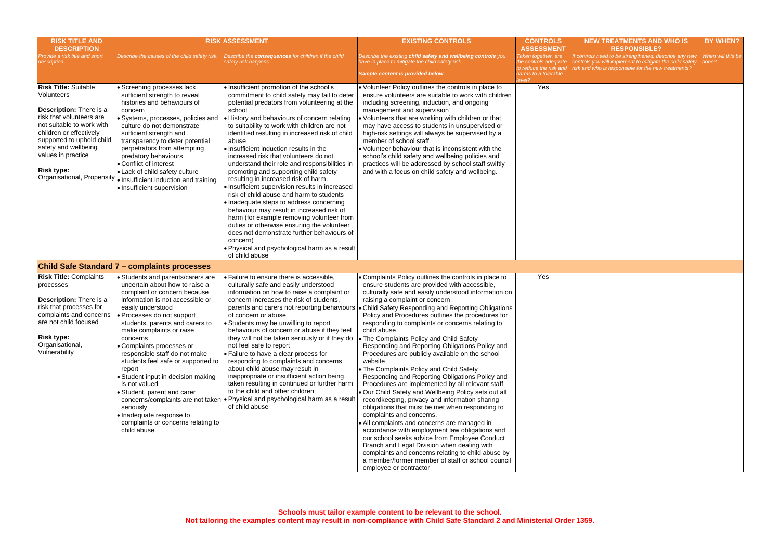| <b>RISK TITLE AND</b><br><b>DESCRIPTION</b>                                                                                                                                                                                                                                            |                                                                                                                                                                                                                                                                                                                                                                                                                                                                                                                                                                   | <b>RISK ASSESSMENT</b>                                                                                                                                                                                                                                                                                                                                                                                                                                                                                                                                                                                                                                                                                                                                                                                                                                                                                                                               | <b>EXISTING CONTROLS</b>                                                                                                                                                                                                                                                                                                                                                                                                                                                                                                                                                                                                                                                                                                                                                                                                                                                                                                                                                                                                                                                                                                                                                          | <b>CONTROLS</b><br><b>ASSESSMENT</b>                                                                    | <b>NEW TREATMENTS AND WHO IS</b><br><b>RESPONSIBLE?</b>                                                                                                             | <b>BY WHEN?</b>            |
|----------------------------------------------------------------------------------------------------------------------------------------------------------------------------------------------------------------------------------------------------------------------------------------|-------------------------------------------------------------------------------------------------------------------------------------------------------------------------------------------------------------------------------------------------------------------------------------------------------------------------------------------------------------------------------------------------------------------------------------------------------------------------------------------------------------------------------------------------------------------|------------------------------------------------------------------------------------------------------------------------------------------------------------------------------------------------------------------------------------------------------------------------------------------------------------------------------------------------------------------------------------------------------------------------------------------------------------------------------------------------------------------------------------------------------------------------------------------------------------------------------------------------------------------------------------------------------------------------------------------------------------------------------------------------------------------------------------------------------------------------------------------------------------------------------------------------------|-----------------------------------------------------------------------------------------------------------------------------------------------------------------------------------------------------------------------------------------------------------------------------------------------------------------------------------------------------------------------------------------------------------------------------------------------------------------------------------------------------------------------------------------------------------------------------------------------------------------------------------------------------------------------------------------------------------------------------------------------------------------------------------------------------------------------------------------------------------------------------------------------------------------------------------------------------------------------------------------------------------------------------------------------------------------------------------------------------------------------------------------------------------------------------------|---------------------------------------------------------------------------------------------------------|---------------------------------------------------------------------------------------------------------------------------------------------------------------------|----------------------------|
| Provide a risk title and short<br>description.                                                                                                                                                                                                                                         | Describe the causes of the child safety risk.                                                                                                                                                                                                                                                                                                                                                                                                                                                                                                                     | Describe the <b>consequences</b> for children if the child<br>safety risk happens                                                                                                                                                                                                                                                                                                                                                                                                                                                                                                                                                                                                                                                                                                                                                                                                                                                                    | Describe the existing child safety and wellbeing controls you<br>nave in place to mitigate the child safety risk<br>Sample content is provided below                                                                                                                                                                                                                                                                                                                                                                                                                                                                                                                                                                                                                                                                                                                                                                                                                                                                                                                                                                                                                              | Taken together, are<br>the controls adequate<br>to reduce the risk and<br>harms to a tolerable<br>evel? | controls need to be strengthened, describe any new<br>controls you will implement to mitigate the child safety<br>sk and who is responsible for the new treatments? | When will this be<br>done? |
| <b>Risk Title: Suitable</b><br>Volunteers<br>Description: There is a<br>risk that volunteers are<br>not suitable to work with<br>children or effectively<br>supported to uphold child<br>safety and wellbeing<br>values in practice<br><b>Risk type:</b><br>Organisational, Propensity | • Screening processes lack<br>sufficient strength to reveal<br>histories and behaviours of<br>concern<br>Systems, processes, policies and<br>culture do not demonstrate<br>sufficient strength and<br>transparency to deter potential<br>perpetrators from attempting<br>predatory behaviours<br>• Conflict of interest<br>• Lack of child safety culture<br>Io Insufficient induction and training<br>• Insufficient supervision                                                                                                                                 | · Insufficient promotion of the school's<br>commitment to child safety may fail to deter<br>potential predators from volunteering at the<br>school<br>. History and behaviours of concern relating<br>to suitability to work with children are not<br>identified resulting in increased risk of child<br>abuse<br>. Insufficient induction results in the<br>increased risk that volunteers do not<br>understand their role and responsibilities in<br>promoting and supporting child safety<br>resulting in increased risk of harm.<br>· Insufficient supervision results in increased<br>risk of child abuse and harm to students<br>· Inadequate steps to address concerning<br>behaviour may result in increased risk of<br>harm (for example removing volunteer from<br>duties or otherwise ensuring the volunteer<br>does not demonstrate further behaviours of<br>concern)<br>. Physical and psychological harm as a result<br>of child abuse | • Volunteer Policy outlines the controls in place to<br>ensure volunteers are suitable to work with children<br>including screening, induction, and ongoing<br>management and supervision<br>Volunteers that are working with children or that<br>may have access to students in unsupervised or<br>high-risk settings will always be supervised by a<br>member of school staff<br>• Volunteer behaviour that is inconsistent with the<br>school's child safety and wellbeing policies and<br>practices will be addressed by school staff swiftly<br>and with a focus on child safety and wellbeing.                                                                                                                                                                                                                                                                                                                                                                                                                                                                                                                                                                              | Yes                                                                                                     |                                                                                                                                                                     |                            |
|                                                                                                                                                                                                                                                                                        | <b>Child Safe Standard 7 – complaints processes</b>                                                                                                                                                                                                                                                                                                                                                                                                                                                                                                               |                                                                                                                                                                                                                                                                                                                                                                                                                                                                                                                                                                                                                                                                                                                                                                                                                                                                                                                                                      |                                                                                                                                                                                                                                                                                                                                                                                                                                                                                                                                                                                                                                                                                                                                                                                                                                                                                                                                                                                                                                                                                                                                                                                   |                                                                                                         |                                                                                                                                                                     |                            |
| <b>Risk Title: Complaints</b><br>processes<br>Description: There is a<br>risk that processes for<br>complaints and concerns<br>are not child focused<br><b>Risk type:</b><br>Organisational,<br>Vulnerability                                                                          | • Students and parents/carers are<br>uncertain about how to raise a<br>complaint or concern because<br>information is not accessible or<br>easily understood<br>Processes do not support<br>students, parents and carers to<br>make complaints or raise<br>concerns<br>· Complaints processes or<br>responsible staff do not make<br>students feel safe or supported to<br>report<br>Student input in decision making<br>is not valued<br>Student, parent and carer<br>seriously<br>· Inadequate response to<br>complaints or concerns relating to<br>child abuse | · Failure to ensure there is accessible,<br>culturally safe and easily understood<br>information on how to raise a complaint or<br>concern increases the risk of students,<br>parents and carers not reporting behaviours<br>of concern or abuse<br>• Students may be unwilling to report<br>behaviours of concern or abuse if they feel<br>they will not be taken seriously or if they do   The Complaints Policy and Child Safety<br>not feel safe to report<br>• Failure to have a clear process for<br>responding to complaints and concerns<br>about child abuse may result in<br>inappropriate or insufficient action being<br>taken resulting in continued or further harm<br>to the child and other children<br>concerns/complaints are not taken   • Physical and psychological harm as a result<br>of child abuse                                                                                                                          | . Complaints Policy outlines the controls in place to<br>ensure students are provided with accessible,<br>culturally safe and easily understood information on<br>raising a complaint or concern<br>Child Safety Responding and Reporting Obligations<br>Policy and Procedures outlines the procedures for<br>responding to complaints or concerns relating to<br>child abuse<br>Responding and Reporting Obligations Policy and<br>Procedures are publicly available on the school<br>website<br>• The Complaints Policy and Child Safety<br>Responding and Reporting Obligations Policy and<br>Procedures are implemented by all relevant staff<br>. Our Child Safety and Wellbeing Policy sets out all<br>recordkeeping, privacy and information sharing<br>obligations that must be met when responding to<br>complaints and concerns.<br>• All complaints and concerns are managed in<br>accordance with employment law obligations and<br>our school seeks advice from Employee Conduct<br>Branch and Legal Division when dealing with<br>complaints and concerns relating to child abuse by<br>a member/former member of staff or school council<br>employee or contractor | Yes                                                                                                     |                                                                                                                                                                     |                            |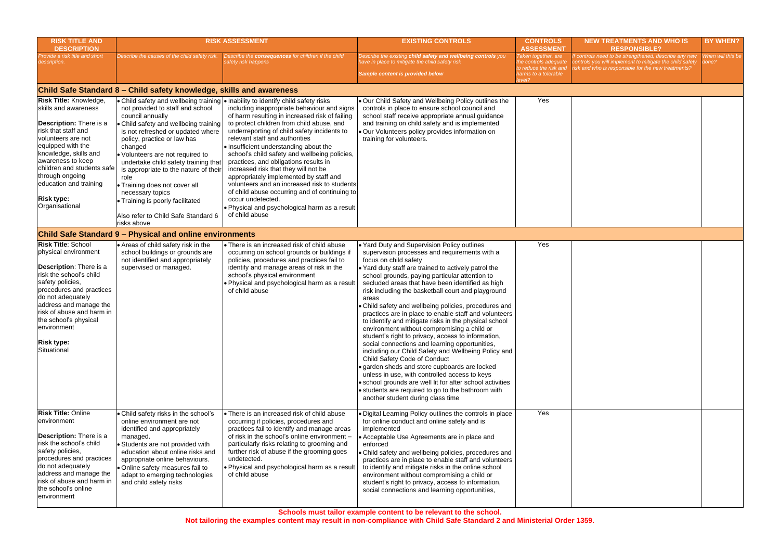**Schools must tailor example content to be relevant to the school.** 

**Not tailoring the examples content may result in non-compliance with Child Safe Standard 2 and Ministerial Order 1359.**

| <b>RISK TITLE AND</b><br><b>DESCRIPTION</b>                                                                                                                                                                                                                                                                        |                                                                                                                                                                                                                                                                                                                                                                                                                                                          | <b>RISK ASSESSMENT</b>                                                                                                                                                                                                                                                                                                                                                                                                                                                                                                                                                                                                                                                                                                         | <b>EXISTING CONTROLS</b>                                                                                                                                                                                                                                                                                                                                                                                                                                                                                                                                                                                                                                                                                                                                                                                                                                                                                                                                                                                                            | <b>CONTROLS</b><br><b>ASSESSMENT</b>                                                                  | <b>NEW TREATMENTS AND WHO IS</b><br><b>RESPONSIBLE?</b>                                                                                                                 | <b>BY WHEN?</b>            |
|--------------------------------------------------------------------------------------------------------------------------------------------------------------------------------------------------------------------------------------------------------------------------------------------------------------------|----------------------------------------------------------------------------------------------------------------------------------------------------------------------------------------------------------------------------------------------------------------------------------------------------------------------------------------------------------------------------------------------------------------------------------------------------------|--------------------------------------------------------------------------------------------------------------------------------------------------------------------------------------------------------------------------------------------------------------------------------------------------------------------------------------------------------------------------------------------------------------------------------------------------------------------------------------------------------------------------------------------------------------------------------------------------------------------------------------------------------------------------------------------------------------------------------|-------------------------------------------------------------------------------------------------------------------------------------------------------------------------------------------------------------------------------------------------------------------------------------------------------------------------------------------------------------------------------------------------------------------------------------------------------------------------------------------------------------------------------------------------------------------------------------------------------------------------------------------------------------------------------------------------------------------------------------------------------------------------------------------------------------------------------------------------------------------------------------------------------------------------------------------------------------------------------------------------------------------------------------|-------------------------------------------------------------------------------------------------------|-------------------------------------------------------------------------------------------------------------------------------------------------------------------------|----------------------------|
| Provide a risk title and short<br>description.                                                                                                                                                                                                                                                                     | Describe the causes of the child safety risk.                                                                                                                                                                                                                                                                                                                                                                                                            | Describe the consequences for children if the child<br>afety risk happens                                                                                                                                                                                                                                                                                                                                                                                                                                                                                                                                                                                                                                                      | Describe the existing child safety and wellbeing controls you<br>ave in place to mitigate the child safety risk<br>Sample content is provided below                                                                                                                                                                                                                                                                                                                                                                                                                                                                                                                                                                                                                                                                                                                                                                                                                                                                                 | Taken together, are<br>he controls adequate<br>o reduce the risk and<br>harms to a tolerable<br>evel? | f controls need to be strengthened, describe any new<br>controls you will implement to mitigate the child safety<br>risk and who is responsible for the new treatments? | When will this be<br>done? |
|                                                                                                                                                                                                                                                                                                                    | Child Safe Standard 8 – Child safety knowledge, skills and awareness                                                                                                                                                                                                                                                                                                                                                                                     |                                                                                                                                                                                                                                                                                                                                                                                                                                                                                                                                                                                                                                                                                                                                |                                                                                                                                                                                                                                                                                                                                                                                                                                                                                                                                                                                                                                                                                                                                                                                                                                                                                                                                                                                                                                     |                                                                                                       |                                                                                                                                                                         |                            |
| Risk Title: Knowledge,<br>skills and awareness<br><b>Description:</b> There is a<br>risk that staff and<br>volunteers are not<br>equipped with the<br>knowledge, skills and<br>awareness to keep<br>children and students safe<br>through ongoing<br>education and training<br><b>Risk type:</b><br>Organisational | not provided to staff and school<br>council annually<br>• Child safety and wellbeing training<br>is not refreshed or updated where<br>policy, practice or law has<br>changed<br>• Volunteers are not required to<br>undertake child safety training that<br>is appropriate to the nature of their<br>role<br>• Training does not cover all<br>necessary topics<br>• Training is poorly facilitated<br>Also refer to Child Safe Standard 6<br>risks above | • Child safety and wellbeing training • Inability to identify child safety risks<br>including inappropriate behaviour and signs<br>of harm resulting in increased risk of failing<br>to protect children from child abuse, and<br>underreporting of child safety incidents to<br>relevant staff and authorities<br>. Insufficient understanding about the<br>school's child safety and wellbeing policies,<br>practices, and obligations results in<br>increased risk that they will not be<br>appropriately implemented by staff and<br>volunteers and an increased risk to students<br>of child abuse occurring and of continuing to<br>occur undetected.<br>. Physical and psychological harm as a result<br>of child abuse | . Our Child Safety and Wellbeing Policy outlines the<br>controls in place to ensure school council and<br>school staff receive appropriate annual guidance<br>and training on child safety and is implemented<br>. Our Volunteers policy provides information on<br>training for volunteers.                                                                                                                                                                                                                                                                                                                                                                                                                                                                                                                                                                                                                                                                                                                                        | Yes                                                                                                   |                                                                                                                                                                         |                            |
|                                                                                                                                                                                                                                                                                                                    | <b>Child Safe Standard 9 - Physical and online environments</b>                                                                                                                                                                                                                                                                                                                                                                                          |                                                                                                                                                                                                                                                                                                                                                                                                                                                                                                                                                                                                                                                                                                                                |                                                                                                                                                                                                                                                                                                                                                                                                                                                                                                                                                                                                                                                                                                                                                                                                                                                                                                                                                                                                                                     |                                                                                                       |                                                                                                                                                                         |                            |
| <b>Risk Title: School</b><br>physical environment<br>Description: There is a<br>risk the school's child<br>safety policies,<br>procedures and practices<br>do not adequately<br>address and manage the<br>risk of abuse and harm in<br>the school's physical<br>environment<br><b>Risk type:</b><br>Situational    | • Areas of child safety risk in the<br>school buildings or grounds are<br>not identified and appropriately<br>supervised or managed.                                                                                                                                                                                                                                                                                                                     | • There is an increased risk of child abuse<br>occurring on school grounds or buildings if<br>policies, procedures and practices fail to<br>identify and manage areas of risk in the<br>school's physical environment<br>. Physical and psychological harm as a result<br>of child abuse                                                                                                                                                                                                                                                                                                                                                                                                                                       | . Yard Duty and Supervision Policy outlines<br>supervision processes and requirements with a<br>focus on child safety<br>. Yard duty staff are trained to actively patrol the<br>school grounds, paying particular attention to<br>secluded areas that have been identified as high<br>risk including the basketball court and playground<br>areas<br>Child safety and wellbeing policies, procedures and<br>practices are in place to enable staff and volunteers<br>to identify and mitigate risks in the physical school<br>environment without compromising a child or<br>student's right to privacy, access to information,<br>social connections and learning opportunities,<br>including our Child Safety and Wellbeing Policy and<br>Child Safety Code of Conduct<br>· garden sheds and store cupboards are locked<br>unless in use, with controlled access to keys<br>• school grounds are well lit for after school activities<br>• students are required to go to the bathroom with<br>another student during class time | Yes                                                                                                   |                                                                                                                                                                         |                            |
| <b>Risk Title: Online</b><br>environment<br>Description: There is a<br>risk the school's child<br>safety policies,<br>procedures and practices<br>do not adequately<br>address and manage the<br>risk of abuse and harm in<br>the school's online<br>environment                                                   | • Child safety risks in the school's<br>online environment are not<br>identified and appropriately<br>managed.<br>· Students are not provided with<br>education about online risks and<br>appropriate online behaviours.<br>· Online safety measures fail to<br>adapt to emerging technologies<br>and child safety risks                                                                                                                                 | • There is an increased risk of child abuse<br>occurring if policies, procedures and<br>practices fail to identify and manage areas<br>of risk in the school's online environment -<br>particularly risks relating to grooming and<br>further risk of abuse if the grooming goes<br>undetected.<br>. Physical and psychological harm as a result<br>of child abuse                                                                                                                                                                                                                                                                                                                                                             | . Digital Learning Policy outlines the controls in place<br>for online conduct and online safety and is<br>implemented<br>Acceptable Use Agreements are in place and<br>enforced<br>• Child safety and wellbeing policies, procedures and<br>practices are in place to enable staff and volunteers<br>to identify and mitigate risks in the online school<br>environment without compromising a child or<br>student's right to privacy, access to information,<br>social connections and learning opportunities,                                                                                                                                                                                                                                                                                                                                                                                                                                                                                                                    | Yes                                                                                                   |                                                                                                                                                                         |                            |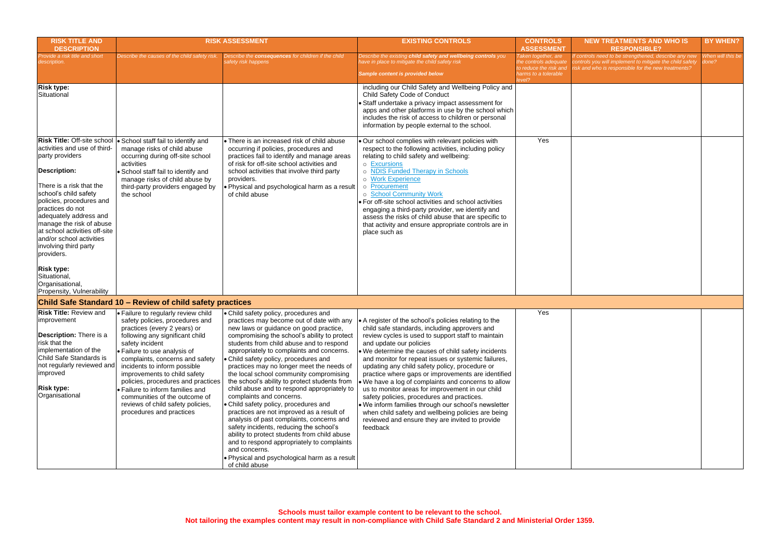| <b>RISK TITLE AND</b><br><b>DESCRIPTION</b>                                                                                                                                                                                                                                                                                                                                                                                                                      |                                                                                                                                                                                                                                                                                                                                                                                                                                                                             | <b>RISK ASSESSMENT</b>                                                                                                                                                                                                                                                                                                                                                                                                                                                                                                                                                                                                                                                                                                                                                                                                                                                                             | <b>EXISTING CONTROLS</b>                                                                                                                                                                                                                                                                                                                                                                                                                                                                                                                                                                                                                                                                                                                                    | <b>CONTROLS</b><br><b>ASSESSMENT</b>                                                           | <b>NEW TREATMENTS AND WHO IS</b><br><b>RESPONSIBLE?</b>                                                                                                                 | <b>BY WHEN?</b>            |
|------------------------------------------------------------------------------------------------------------------------------------------------------------------------------------------------------------------------------------------------------------------------------------------------------------------------------------------------------------------------------------------------------------------------------------------------------------------|-----------------------------------------------------------------------------------------------------------------------------------------------------------------------------------------------------------------------------------------------------------------------------------------------------------------------------------------------------------------------------------------------------------------------------------------------------------------------------|----------------------------------------------------------------------------------------------------------------------------------------------------------------------------------------------------------------------------------------------------------------------------------------------------------------------------------------------------------------------------------------------------------------------------------------------------------------------------------------------------------------------------------------------------------------------------------------------------------------------------------------------------------------------------------------------------------------------------------------------------------------------------------------------------------------------------------------------------------------------------------------------------|-------------------------------------------------------------------------------------------------------------------------------------------------------------------------------------------------------------------------------------------------------------------------------------------------------------------------------------------------------------------------------------------------------------------------------------------------------------------------------------------------------------------------------------------------------------------------------------------------------------------------------------------------------------------------------------------------------------------------------------------------------------|------------------------------------------------------------------------------------------------|-------------------------------------------------------------------------------------------------------------------------------------------------------------------------|----------------------------|
| rovide a risk title and short<br>escription.                                                                                                                                                                                                                                                                                                                                                                                                                     | Describe the causes of the child safety risk.                                                                                                                                                                                                                                                                                                                                                                                                                               | Describe the consequences for children if the child<br>safety risk happens                                                                                                                                                                                                                                                                                                                                                                                                                                                                                                                                                                                                                                                                                                                                                                                                                         | Describe the existing child safety and wellbeing controls you<br>ave in place to mitigate the child safety risk<br>Sample content is provided below                                                                                                                                                                                                                                                                                                                                                                                                                                                                                                                                                                                                         | Taken together, are<br>the controls adequate<br>to reduce the risk and<br>harms to a tolerable | f controls need to be strengthened, describe any new<br>controls you will implement to mitigate the child safety<br>risk and who is responsible for the new treatments? | When will this be<br>done? |
| <b>Risk type:</b><br>Situational                                                                                                                                                                                                                                                                                                                                                                                                                                 |                                                                                                                                                                                                                                                                                                                                                                                                                                                                             |                                                                                                                                                                                                                                                                                                                                                                                                                                                                                                                                                                                                                                                                                                                                                                                                                                                                                                    | including our Child Safety and Wellbeing Policy and<br>Child Safety Code of Conduct<br>Staff undertake a privacy impact assessment for<br>apps and other platforms in use by the school which<br>includes the risk of access to children or personal<br>information by people external to the school.                                                                                                                                                                                                                                                                                                                                                                                                                                                       |                                                                                                |                                                                                                                                                                         |                            |
| <b>Risk Title: Off-site school</b><br>activities and use of third-<br>party providers<br><b>Description:</b><br>There is a risk that the<br>school's child safety<br>policies, procedures and<br>practices do not<br>adequately address and<br>manage the risk of abuse<br>at school activities off-site<br>and/or school activities<br>involving third party<br>providers.<br><b>Risk type:</b><br>Situational,<br>Organisational,<br>Propensity, Vulnerability | · School staff fail to identify and<br>manage risks of child abuse<br>occurring during off-site school<br>activities<br>School staff fail to identify and<br>manage risks of child abuse by<br>third-party providers engaged by<br>the school                                                                                                                                                                                                                               | • There is an increased risk of child abuse<br>occurring if policies, procedures and<br>practices fail to identify and manage areas<br>of risk for off-site school activities and<br>school activities that involve third party<br>providers.<br>. Physical and psychological harm as a result<br>of child abuse                                                                                                                                                                                                                                                                                                                                                                                                                                                                                                                                                                                   | Our school complies with relevant policies with<br>respect to the following activities, including policy<br>relating to child safety and wellbeing:<br>o Excursions<br>o NDIS Funded Therapy in Schools<br>o Work Experience<br>o Procurement<br>o School Community Work<br>• For off-site school activities and school activities<br>engaging a third-party provider, we identify and<br>assess the risks of child abuse that are specific to<br>that activity and ensure appropriate controls are in<br>place such as                                                                                                                                                                                                                                     | Yes                                                                                            |                                                                                                                                                                         |                            |
|                                                                                                                                                                                                                                                                                                                                                                                                                                                                  | Child Safe Standard 10 - Review of child safety practices                                                                                                                                                                                                                                                                                                                                                                                                                   |                                                                                                                                                                                                                                                                                                                                                                                                                                                                                                                                                                                                                                                                                                                                                                                                                                                                                                    |                                                                                                                                                                                                                                                                                                                                                                                                                                                                                                                                                                                                                                                                                                                                                             |                                                                                                |                                                                                                                                                                         |                            |
| <b>Risk Title: Review and</b><br>improvement<br><b>Description:</b> There is a<br>risk that the<br>implementation of the<br>Child Safe Standards is<br>not regularly reviewed and<br>limproved<br><b>Risk type:</b><br>Organisational                                                                                                                                                                                                                            | • Failure to regularly review child<br>safety policies, procedures and<br>practices (every 2 years) or<br>following any significant child<br>safety incident<br>• Failure to use analysis of<br>complaints, concerns and safety<br>incidents to inform possible<br>improvements to child safety<br>policies, procedures and practices<br>· Failure to inform families and<br>communities of the outcome of<br>reviews of child safety policies,<br>procedures and practices | . Child safety policy, procedures and<br>practices may become out of date with any<br>new laws or guidance on good practice,<br>compromising the school's ability to protect<br>students from child abuse and to respond<br>appropriately to complaints and concerns.<br>• Child safety policy, procedures and<br>practices may no longer meet the needs of<br>the local school community compromising<br>the school's ability to protect students from<br>child abuse and to respond appropriately to<br>complaints and concerns.<br>• Child safety policy, procedures and<br>practices are not improved as a result of<br>analysis of past complaints, concerns and<br>safety incidents, reducing the school's<br>ability to protect students from child abuse<br>and to respond appropriately to complaints<br>and concerns.<br>. Physical and psychological harm as a result<br>of child abuse | $\bullet$ A register of the school's policies relating to the<br>child safe standards, including approvers and<br>review cycles is used to support staff to maintain<br>and update our policies<br>. We determine the causes of child safety incidents<br>and monitor for repeat issues or systemic failures,<br>updating any child safety policy, procedure or<br>practice where gaps or improvements are identified<br>. We have a log of complaints and concerns to allow<br>us to monitor areas for improvement in our child<br>safety policies, procedures and practices.<br>. We inform families through our school's newsletter<br>when child safety and wellbeing policies are being<br>reviewed and ensure they are invited to provide<br>feedback | Yes                                                                                            |                                                                                                                                                                         |                            |